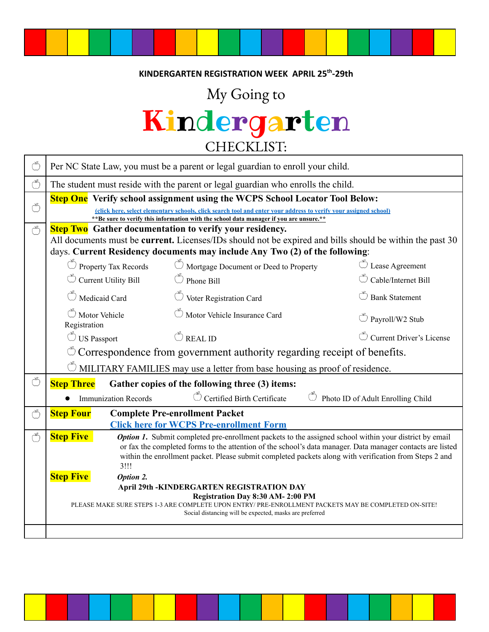#### **KINDERGARTEN REGISTRATION WEEK APRIL 25th -29th**

## My Going to

# Kindergarten CHECKLIST:

| G             | Per NC State Law, you must be a parent or legal guardian to enroll your child.                                                                                                                                                                                                                                                                                    |                                                                               |                                             |  |  |  |
|---------------|-------------------------------------------------------------------------------------------------------------------------------------------------------------------------------------------------------------------------------------------------------------------------------------------------------------------------------------------------------------------|-------------------------------------------------------------------------------|---------------------------------------------|--|--|--|
| ٣             | The student must reside with the parent or legal guardian who enrolls the child.                                                                                                                                                                                                                                                                                  |                                                                               |                                             |  |  |  |
| Ö             | <b>Step One</b> Verify school assignment using the WCPS School Locator Tool Below:<br>(click here, select elementary schools, click search tool and enter your address to verify your assigned school)<br>** Be sure to verify this information with the school data manager if you are unsure.**                                                                 |                                                                               |                                             |  |  |  |
| $\mathcal{C}$ | <b>Step Two</b> Gather documentation to verify your residency.<br>All documents must be current. Licenses/IDs should not be expired and bills should be within the past 30<br>days. Current Residency documents may include Any Two (2) of the following:                                                                                                         |                                                                               |                                             |  |  |  |
|               | $\circlearrowright$ Property Tax Records                                                                                                                                                                                                                                                                                                                          | $\circlearrowright$ Mortgage Document or Deed to Property                     | $\bullet$ Lease Agreement                   |  |  |  |
|               | Current Utility Bill                                                                                                                                                                                                                                                                                                                                              | Phone Bill                                                                    | Cable/Internet Bill                         |  |  |  |
|               | Medicaid Card                                                                                                                                                                                                                                                                                                                                                     | Voter Registration Card                                                       | <b>Bank Statement</b>                       |  |  |  |
|               | Motor Vehicle<br>Registration                                                                                                                                                                                                                                                                                                                                     | Motor Vehicle Insurance Card                                                  | $\overset{\circ}{\bigcirc}$ Payroll/W2 Stub |  |  |  |
|               | <b>US</b> Passport                                                                                                                                                                                                                                                                                                                                                | $\circledcirc$ REAL ID                                                        | Current Driver's License                    |  |  |  |
|               | Correspondence from government authority regarding receipt of benefits.                                                                                                                                                                                                                                                                                           |                                                                               |                                             |  |  |  |
|               | MILITARY FAMILIES may use a letter from base housing as proof of residence.                                                                                                                                                                                                                                                                                       |                                                                               |                                             |  |  |  |
| Ö             | <b>Step Three</b><br>Gather copies of the following three (3) items:                                                                                                                                                                                                                                                                                              |                                                                               |                                             |  |  |  |
|               | <b>Immunization Records</b>                                                                                                                                                                                                                                                                                                                                       | Certified Birth Certificate<br>$\circled{}$ Photo ID of Adult Enrolling Child |                                             |  |  |  |
| G             | <b>Complete Pre-enrollment Packet</b><br><b>Step Four</b><br><b>Click here for WCPS Pre-enrollment Form</b>                                                                                                                                                                                                                                                       |                                                                               |                                             |  |  |  |
| Ö             | <b>Step Five</b><br><b>Option 1.</b> Submit completed pre-enrollment packets to the assigned school within your district by email<br>or fax the completed forms to the attention of the school's data manager. Data manager contacts are listed<br>within the enrollment packet. Please submit completed packets along with verification from Steps 2 and<br>3!!! |                                                                               |                                             |  |  |  |
|               | <b>Step Five</b><br>Option 2.                                                                                                                                                                                                                                                                                                                                     |                                                                               |                                             |  |  |  |
|               | <b>April 29th -KINDERGARTEN REGISTRATION DAY</b><br>Registration Day 8:30 AM-2:00 PM                                                                                                                                                                                                                                                                              |                                                                               |                                             |  |  |  |
|               | PLEASE MAKE SURE STEPS 1-3 ARE COMPLETE UPON ENTRY/ PRE-ENROLLMENT PACKETS MAY BE COMPLETED ON-SITE!<br>Social distancing will be expected, masks are preferred                                                                                                                                                                                                   |                                                                               |                                             |  |  |  |
|               |                                                                                                                                                                                                                                                                                                                                                                   |                                                                               |                                             |  |  |  |